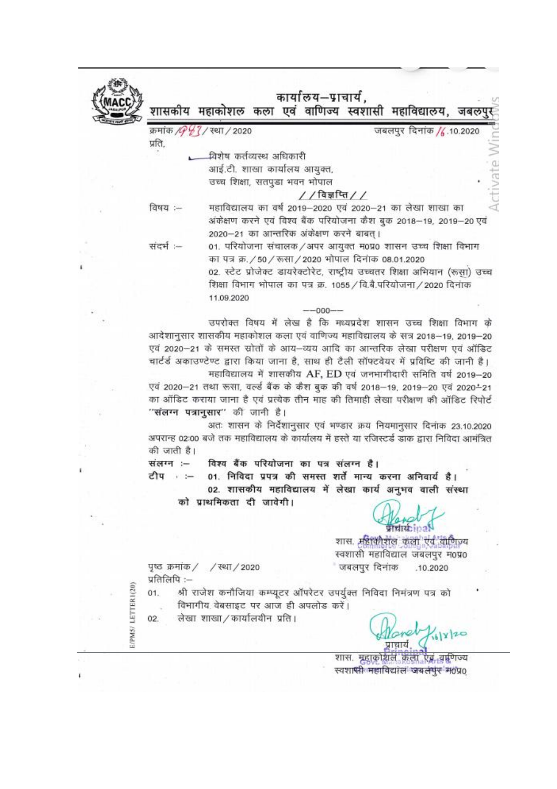

 $\langle i \rangle$ 

 $\frac{1}{\sqrt{2}}$ 

 $\langle \hat{\phi} \rangle$ 

窗

 $\Theta_{\gamma k}$ 

 $\lambda$ 

 $\sim 10$ 

j.

 $\bar{\xi}$ 

t.

×

ï

|               | क्रमांक <i>/G <sup>0</sup>/3</i> / स्था / 2020 | जबलपुर दिनांक / 10.2020                                                                        |  |
|---------------|------------------------------------------------|------------------------------------------------------------------------------------------------|--|
| प्रति,        |                                                |                                                                                                |  |
|               | यिशेष कर्तव्यस्थ अधिकारी                       |                                                                                                |  |
|               | आई.टी. शाखा कार्यालय आयुक्त,                   |                                                                                                |  |
|               | उच्च शिक्षा, सतपुडा भवन भोपाल                  |                                                                                                |  |
|               |                                                | $//$ विज्ञप्ति//                                                                               |  |
| विषय :--      |                                                | महाविद्यालय का वर्ष 2019–2020 एवं 2020–21 का लेखा शाखा का                                      |  |
|               |                                                | अंकेक्षण करने एवं विश्व बैंक परियोजना कैश बुक 2018–19, 2019–20 एवं                             |  |
|               | 2020-21 का आन्तरिक अंकेक्षण करने बाबत् ।       |                                                                                                |  |
| संदर्भ :--    |                                                | 01. परियोजना संचालक/अपर आयुक्त म0प्र0 शासन उच्च शिक्षा विभाग                                   |  |
|               |                                                | का पत्र क्र./50/रूसा/2020 भोपाल दिनांक 08.01.2020                                              |  |
|               |                                                | 02. स्टेट प्रोजेक्ट डायरेक्टोरेट, राष्ट्रीय उच्चतर शिक्षा अभियान (रूसा) उच्च                   |  |
|               |                                                | शिक्षा विभाग भोपाल का पत्र क्र. 1055 / वि.बै.परियोजना / 2020 दिनांक                            |  |
|               | 11.09.2020                                     |                                                                                                |  |
|               |                                                | $-000 - -$                                                                                     |  |
|               |                                                | उपरोक्त विषय में लेख है कि मध्यप्रदेश शासन उच्च शिक्षा विभाग के                                |  |
|               |                                                | आदेशानुसार शासकीय महाकोशल कला एवं वाणिज्य महाविद्यालय के सत्र 2018–19, 2019–20                 |  |
|               |                                                | एवं 2020-21 के समस्त स्रोतों के आय-व्यय आदि का आन्तरिक लेखा परीक्षण एवं ऑडिट                   |  |
|               |                                                | चार्टर्ड अकाउण्टेण्ट द्वारा किया जाना है, साथ ही टैली सॉफ्टवेयर में प्रविष्टि की जानी है।      |  |
|               |                                                | महाविद्यालय में शासकीय AF, ED एवं जनभागीदारी समिति वर्ष 2019-20                                |  |
|               |                                                | एवं 2020–21 तथा रूसा, वर्ल्ड बैंक के कैश बुक की वर्ष 2018–19, 2019–20 एवं 2020–21              |  |
|               |                                                | का ऑडिट कराया जाना है एवं प्रत्येक तीन माह की तिमाही लेखा परीक्षण की ऑडिट रिपोर्ट              |  |
|               | "संलग्न पत्रानुसार" की जानी है।                |                                                                                                |  |
|               |                                                | अतः शासन के निर्देशानुसार एवं भण्डार क्रय नियमानुसार दिनांक 23.10.2020                         |  |
|               |                                                |                                                                                                |  |
|               |                                                |                                                                                                |  |
|               |                                                | अपरान्ह 02:00 बजे तक महाविद्यालय के कार्यालय में हस्ते या रजिस्टर्ड डाक द्वारा निविदा आमंत्रित |  |
| की जाती है।   |                                                |                                                                                                |  |
|               | विश्व बैंक परियोजना का पत्र संलग्न है।         |                                                                                                |  |
| टीप ≔         |                                                | 01. निविदा प्रपत्र की समस्त शर्तें मान्य करना अनिवार्य है।                                     |  |
|               |                                                | 02. शासकीय महाविद्यालय में लेखा कार्य अनुभव वाली संस्था                                        |  |
|               | को प्राथमिकता दी जावेगी।                       |                                                                                                |  |
|               |                                                |                                                                                                |  |
| संलग्न :-     |                                                | 10.31                                                                                          |  |
|               |                                                | शास. महाकोशल कला एवं वाणिज्य                                                                   |  |
|               |                                                | स्वशासी महाविद्याल जबलपुर म0प्र0                                                               |  |
|               | पृष्ठ क्रमांक / / रथा / 2020                   | जबलपुर दिनाक<br>.10.2020                                                                       |  |
| प्रतिलिपि :-- |                                                |                                                                                                |  |
|               |                                                | श्री राजेश कनौजिया कम्प्यूटर ऑपरेटर उपर्युक्त निविदा निमंत्रण पत्र को                          |  |
|               | विभागीय वेबसाइट पर आज ही अपलोड करें।           |                                                                                                |  |
| 01.<br>02.    | लेखा शाखा / कार्यालयीन प्रति।                  |                                                                                                |  |
|               |                                                |                                                                                                |  |

शास. मृहाकोशल कला एवं वर्षणेज्य<br>- स्वशासी महाविद्याल जबलपुर म0प्र0

 $\sim$ 

 $\sim$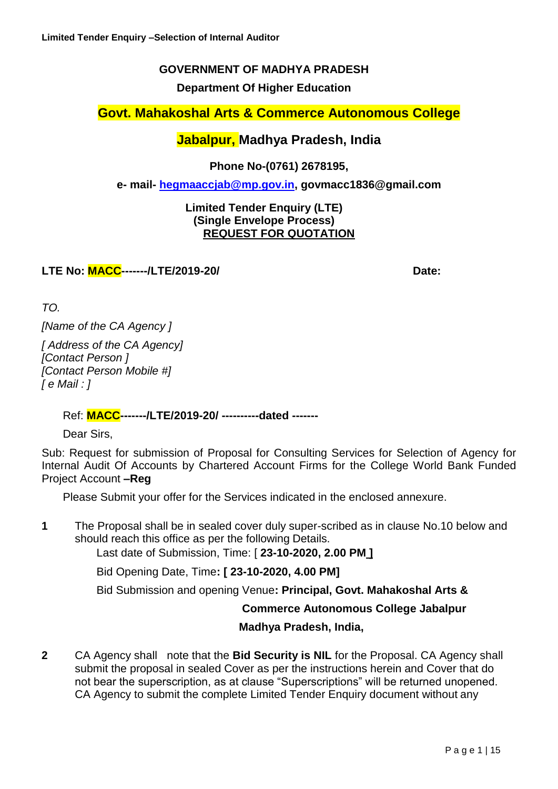### **GOVERNMENT OF MADHYA PRADESH**

**Department Of Higher Education**

**Govt. Mahakoshal Arts & Commerce Autonomous College**

### **Jabalpur, Madhya Pradesh, India**

**Phone No-(0761) 2678195,** 

**e- mail- [hegmaaccjab@mp.gov.in,](mailto:hegmaaccjab@mp.gov.in) govmacc1836@gmail.com**

#### **Limited Tender Enquiry (LTE) (Single Envelope Process) REQUEST FOR QUOTATION**

**LTE No: MACC-------/LTE/2019-20/ Date:**

*TO.*

*[Name of the CA Agency ]*

*[ Address of the CA Agency] [Contact Person ] [Contact Person Mobile #] [ e Mail : ]*

### Ref: **MACC-------/LTE/2019-20/ ----------dated -------**

Dear Sirs,

Sub: Request for submission of Proposal for Consulting Services for Selection of Agency for Internal Audit Of Accounts by Chartered Account Firms for the College World Bank Funded Project Account **–Reg**

Please Submit your offer for the Services indicated in the enclosed annexure.

**1** The Proposal shall be in sealed cover duly super-scribed as in clause No.10 below and should reach this office as per the following Details.

Last date of Submission, Time: [ **23-10-2020, 2.00 PM ]**

Bid Opening Date, Time**: [ 23-10-2020, 4.00 PM]**

Bid Submission and opening Venue**: Principal, Govt. Mahakoshal Arts &** 

#### **Commerce Autonomous College Jabalpur**

#### **Madhya Pradesh, India,**

**2** CA Agency shall note that the **Bid Security is NIL** for the Proposal. CA Agency shall submit the proposal in sealed Cover as per the instructions herein and Cover that do not bear the superscription, as at clause "Superscriptions" will be returned unopened. CA Agency to submit the complete Limited Tender Enquiry document without any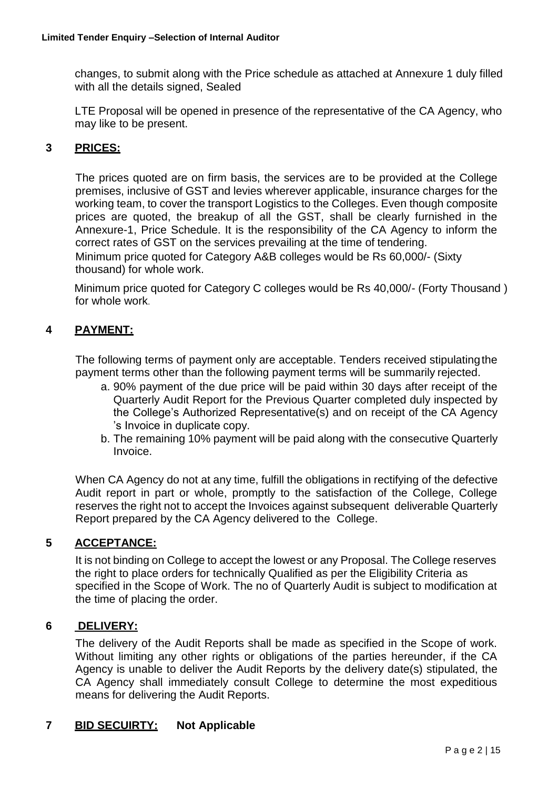changes, to submit along with the Price schedule as attached at Annexure 1 duly filled with all the details signed, Sealed

LTE Proposal will be opened in presence of the representative of the CA Agency, who may like to be present.

### **3 PRICES:**

The prices quoted are on firm basis, the services are to be provided at the College premises, inclusive of GST and levies wherever applicable, insurance charges for the working team, to cover the transport Logistics to the Colleges. Even though composite prices are quoted, the breakup of all the GST, shall be clearly furnished in the Annexure-1, Price Schedule. It is the responsibility of the CA Agency to inform the correct rates of GST on the services prevailing at the time of tendering. Minimum price quoted for Category A&B colleges would be Rs 60,000/- (Sixty thousand) for whole work.

Minimum price quoted for Category C colleges would be Rs 40,000/- (Forty Thousand ) for whole work.

### **4 PAYMENT:**

The following terms of payment only are acceptable. Tenders received stipulatingthe payment terms other than the following payment terms will be summarily rejected.

- a. 90% payment of the due price will be paid within 30 days after receipt of the Quarterly Audit Report for the Previous Quarter completed duly inspected by the College's Authorized Representative(s) and on receipt of the CA Agency 's Invoice in duplicate copy.
- b. The remaining 10% payment will be paid along with the consecutive Quarterly Invoice.

When CA Agency do not at any time, fulfill the obligations in rectifying of the defective Audit report in part or whole, promptly to the satisfaction of the College, College reserves the right not to accept the Invoices against subsequent deliverable Quarterly Report prepared by the CA Agency delivered to the College.

#### **5 ACCEPTANCE:**

It is not binding on College to accept the lowest or any Proposal. The College reserves the right to place orders for technically Qualified as per the Eligibility Criteria as specified in the Scope of Work. The no of Quarterly Audit is subject to modification at the time of placing the order.

#### **6 DELIVERY:**

The delivery of the Audit Reports shall be made as specified in the Scope of work. Without limiting any other rights or obligations of the parties hereunder, if the CA Agency is unable to deliver the Audit Reports by the delivery date(s) stipulated, the CA Agency shall immediately consult College to determine the most expeditious means for delivering the Audit Reports.

### **7 BID SECUIRTY: Not Applicable**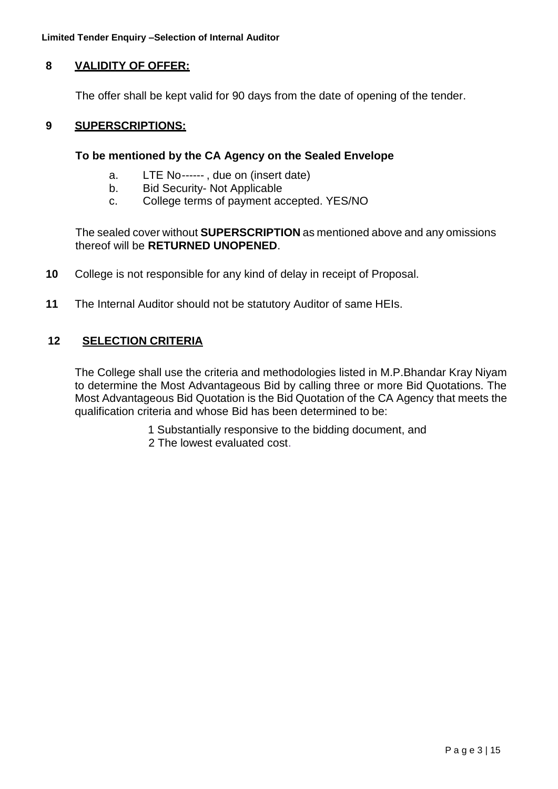**Limited Tender Enquiry –Selection of Internal Auditor**

### **8 VALIDITY OF OFFER:**

The offer shall be kept valid for 90 days from the date of opening of the tender.

#### **9 SUPERSCRIPTIONS:**

#### **To be mentioned by the CA Agency on the Sealed Envelope**

- a. LTE No------ , due on (insert date)
- b. Bid Security- Not Applicable
- c. College terms of payment accepted. YES/NO

The sealed cover without **SUPERSCRIPTION** as mentioned above and any omissions thereof will be **RETURNED UNOPENED**.

- **10** College is not responsible for any kind of delay in receipt of Proposal.
- **11** The Internal Auditor should not be statutory Auditor of same HEIs.

#### **12 SELECTION CRITERIA**

The College shall use the criteria and methodologies listed in M.P.Bhandar Kray Niyam to determine the Most Advantageous Bid by calling three or more Bid Quotations. The Most Advantageous Bid Quotation is the Bid Quotation of the CA Agency that meets the qualification criteria and whose Bid has been determined to be:

1 Substantially responsive to the bidding document, and

2 The lowest evaluated cost.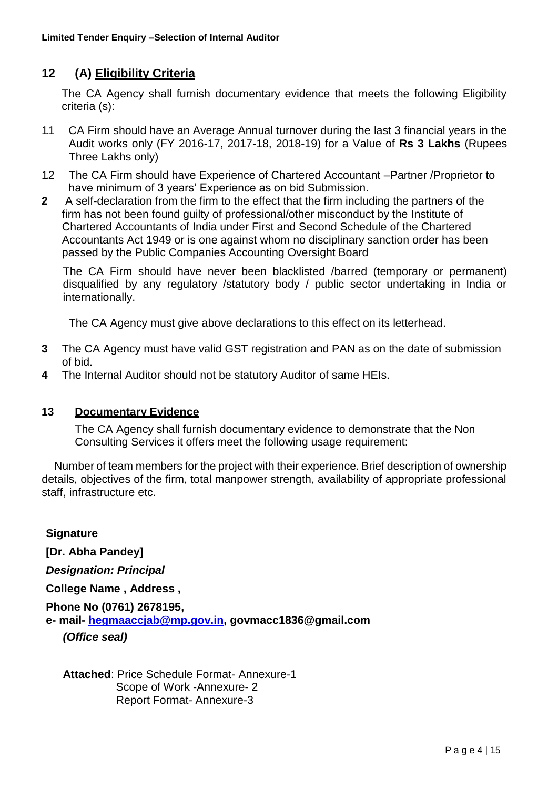## **12 (A) Eligibility Criteria**

The CA Agency shall furnish documentary evidence that meets the following Eligibility criteria (s):

- 1.1 CA Firm should have an Average Annual turnover during the last 3 financial years in the Audit works only (FY 2016-17, 2017-18, 2018-19) for a Value of **Rs 3 Lakhs** (Rupees Three Lakhs only)
- 1.2 The CA Firm should have Experience of Chartered Accountant –Partner /Proprietor to have minimum of 3 years' Experience as on bid Submission.
- **2** A self-declaration from the firm to the effect that the firm including the partners of the firm has not been found guilty of professional/other misconduct by the Institute of Chartered Accountants of India under First and Second Schedule of the Chartered Accountants Act 1949 or is one against whom no disciplinary sanction order has been passed by the Public Companies Accounting Oversight Board

The CA Firm should have never been blacklisted /barred (temporary or permanent) disqualified by any regulatory /statutory body / public sector undertaking in India or internationally.

The CA Agency must give above declarations to this effect on its letterhead.

- **3** The CA Agency must have valid GST registration and PAN as on the date of submission of bid.
- **4** The Internal Auditor should not be statutory Auditor of same HEIs.

#### **13 Documentary Evidence**

The CA Agency shall furnish documentary evidence to demonstrate that the Non Consulting Services it offers meet the following usage requirement:

Number of team members for the project with their experience. Brief description of ownership details, objectives of the firm, total manpower strength, availability of appropriate professional staff, infrastructure etc.

**Signature [Dr. Abha Pandey]** *Designation: Principal* **College Name , Address , Phone No (0761) 2678195, e- mail- [hegmaaccjab@mp.gov.in,](mailto:hegmaaccjab@mp.gov.in) govmacc1836@gmail.com** *(Office seal)*

**Attached**: Price Schedule Format- Annexure-1 Scope of Work -Annexure- 2 Report Format- Annexure-3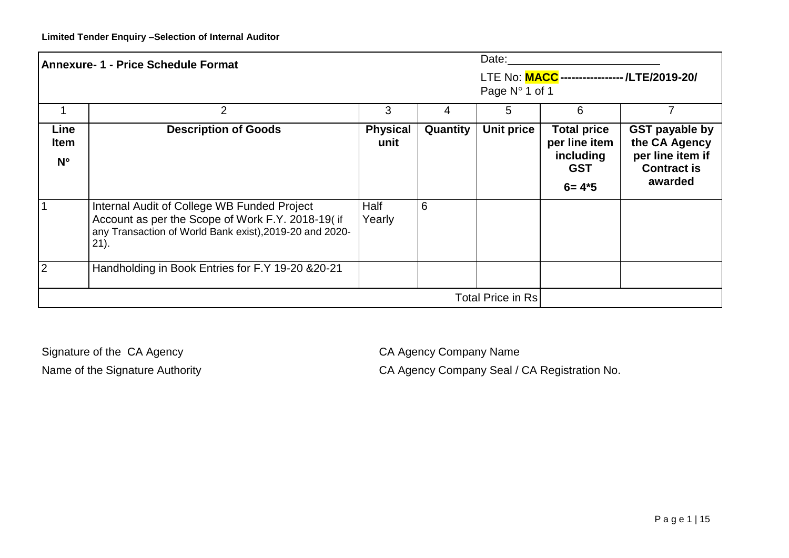| Date:<br><b>Annexure- 1 - Price Schedule Format</b> |                                                                                                                                                                        |                         |          |                |                                                                             |                                                                                             |
|-----------------------------------------------------|------------------------------------------------------------------------------------------------------------------------------------------------------------------------|-------------------------|----------|----------------|-----------------------------------------------------------------------------|---------------------------------------------------------------------------------------------|
|                                                     |                                                                                                                                                                        |                         |          | Page N° 1 of 1 | LTE No: MACC ----------------- /LTE/2019-20/                                |                                                                                             |
|                                                     | 2                                                                                                                                                                      | 3                       | 4        | 5              | 6                                                                           |                                                                                             |
| Line<br><b>Item</b><br>$N^{\circ}$                  | <b>Description of Goods</b>                                                                                                                                            | <b>Physical</b><br>unit | Quantity | Unit price     | <b>Total price</b><br>per line item<br>including<br><b>GST</b><br>$6 = 4*5$ | <b>GST payable by</b><br>the CA Agency<br>per line item if<br><b>Contract is</b><br>awarded |
|                                                     | Internal Audit of College WB Funded Project<br>Account as per the Scope of Work F.Y. 2018-19( if<br>any Transaction of World Bank exist), 2019-20 and 2020-<br>$21$ ). | Half<br>Yearly          | 6        |                |                                                                             |                                                                                             |
| $\overline{2}$                                      | Handholding in Book Entries for F.Y 19-20 & 20-21                                                                                                                      |                         |          |                |                                                                             |                                                                                             |
| <b>Total Price in Rs</b>                            |                                                                                                                                                                        |                         |          |                |                                                                             |                                                                                             |

Signature of the CA Agency CA Agency CA Agency Company Name

Name of the Signature Authority **CA Agency Company Seal / CA Registration No.**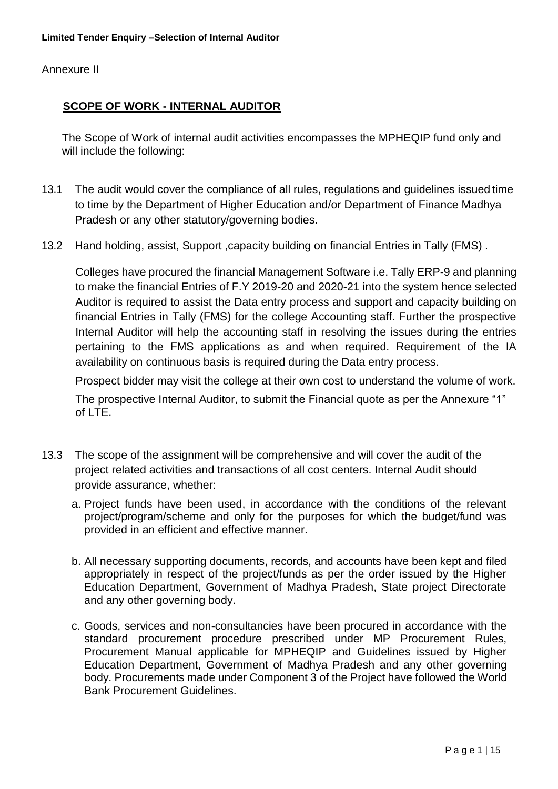Annexure II

### **SCOPE OF WORK - INTERNAL AUDITOR**

The Scope of Work of internal audit activities encompasses the MPHEQIP fund only and will include the following:

- 13.1 The audit would cover the compliance of all rules, regulations and guidelines issued time to time by the Department of Higher Education and/or Department of Finance Madhya Pradesh or any other statutory/governing bodies.
- 13.2 Hand holding, assist, Support ,capacity building on financial Entries in Tally (FMS) .

Colleges have procured the financial Management Software i.e. Tally ERP-9 and planning to make the financial Entries of F.Y 2019-20 and 2020-21 into the system hence selected Auditor is required to assist the Data entry process and support and capacity building on financial Entries in Tally (FMS) for the college Accounting staff. Further the prospective Internal Auditor will help the accounting staff in resolving the issues during the entries pertaining to the FMS applications as and when required. Requirement of the IA availability on continuous basis is required during the Data entry process.

Prospect bidder may visit the college at their own cost to understand the volume of work. The prospective Internal Auditor, to submit the Financial quote as per the Annexure "1"

of LTE.

- 13.3 The scope of the assignment will be comprehensive and will cover the audit of the project related activities and transactions of all cost centers. Internal Audit should provide assurance, whether:
	- a. Project funds have been used, in accordance with the conditions of the relevant project/program/scheme and only for the purposes for which the budget/fund was provided in an efficient and effective manner.
	- b. All necessary supporting documents, records, and accounts have been kept and filed appropriately in respect of the project/funds as per the order issued by the Higher Education Department, Government of Madhya Pradesh, State project Directorate and any other governing body.
	- c. Goods, services and non-consultancies have been procured in accordance with the standard procurement procedure prescribed under MP Procurement Rules, Procurement Manual applicable for MPHEQIP and Guidelines issued by Higher Education Department, Government of Madhya Pradesh and any other governing body. Procurements made under Component 3 of the Project have followed the World Bank Procurement Guidelines.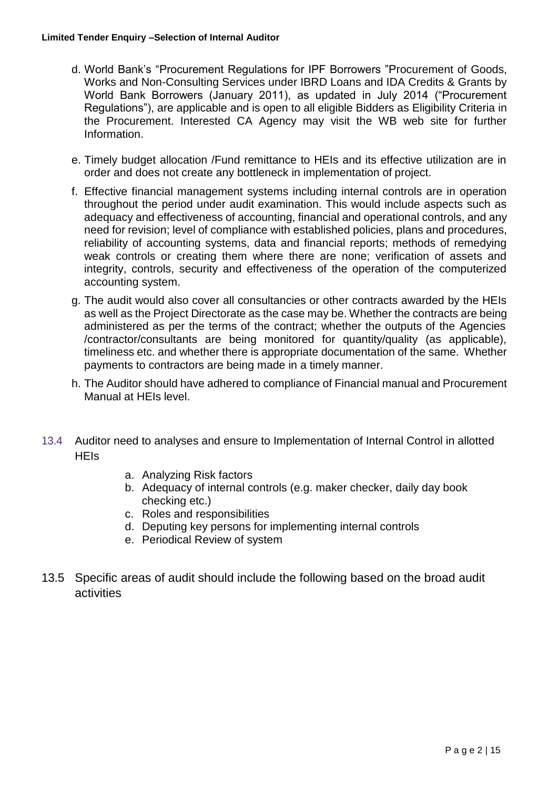- d. World Bank's ["Procurement R](http://www.worldbank.org/html/opr/procure/guidelin.html)egulations for IPF Borrowers "Procurement of Goods, Works and Non-Consulting Services under IBRD Loans and IDA Credits & Grants by World Bank Borrowers (January 2011), as updated in July 2014 ("Procurement Regulations"), are applicable and is open to all eligible Bidders as Eligibility Criteria in the Procurement. Interested CA Agency may visit the WB web site for further Information.
- e. Timely budget allocation /Fund remittance to HEIs and its effective utilization are in order and does not create any bottleneck in implementation of project.
- f. Effective financial management systems including internal controls are in operation throughout the period under audit examination. This would include aspects such as adequacy and effectiveness of accounting, financial and operational controls, and any need for revision; level of compliance with established policies, plans and procedures, reliability of accounting systems, data and financial reports; methods of remedying weak controls or creating them where there are none; verification of assets and integrity, controls, security and effectiveness of the operation of the computerized accounting system.
- g. The audit would also cover all consultancies or other contracts awarded by the HEIs as well as the Project Directorate as the case may be. Whether the contracts are being administered as per the terms of the contract; whether the outputs of the Agencies /contractor/consultants are being monitored for quantity/quality (as applicable), timeliness etc. and whether there is appropriate documentation of the same. Whether payments to contractors are being made in a timely manner.
- h. The Auditor should have adhered to compliance of Financial manual and Procurement Manual at HEIs level.
- 13.4 Auditor need to analyses and ensure to Implementation of Internal Control in allotted **HFIs** 
	- a. Analyzing Risk factors
	- b. Adequacy of internal controls (e.g. maker checker, daily day book checking etc.)
	- c. Roles and responsibilities
	- d. Deputing key persons for implementing internal controls
	- e. Periodical Review of system
- 13.5 Specific areas of audit should include the following based on the broad audit activities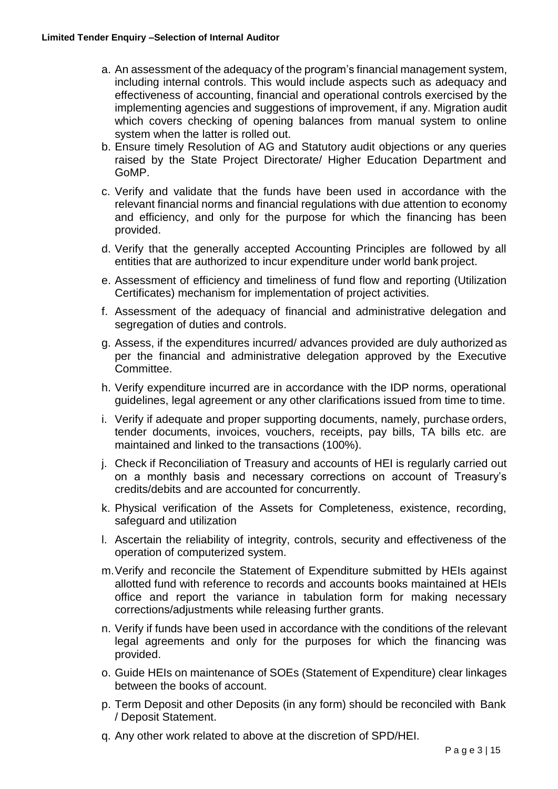- a. An assessment of the adequacy of the program's financial management system, including internal controls. This would include aspects such as adequacy and effectiveness of accounting, financial and operational controls exercised by the implementing agencies and suggestions of improvement, if any. Migration audit which covers checking of opening balances from manual system to online system when the latter is rolled out.
- b. Ensure timely Resolution of AG and Statutory audit objections or any queries raised by the State Project Directorate/ Higher Education Department and GoMP.
- c. Verify and validate that the funds have been used in accordance with the relevant financial norms and financial regulations with due attention to economy and efficiency, and only for the purpose for which the financing has been provided.
- d. Verify that the generally accepted Accounting Principles are followed by all entities that are authorized to incur expenditure under world bank project.
- e. Assessment of efficiency and timeliness of fund flow and reporting (Utilization Certificates) mechanism for implementation of project activities.
- f. Assessment of the adequacy of financial and administrative delegation and segregation of duties and controls.
- g. Assess, if the expenditures incurred/ advances provided are duly authorized as per the financial and administrative delegation approved by the Executive Committee.
- h. Verify expenditure incurred are in accordance with the IDP norms, operational guidelines, legal agreement or any other clarifications issued from time to time.
- i. Verify if adequate and proper supporting documents, namely, purchase orders, tender documents, invoices, vouchers, receipts, pay bills, TA bills etc. are maintained and linked to the transactions (100%).
- j. Check if Reconciliation of Treasury and accounts of HEI is regularly carried out on a monthly basis and necessary corrections on account of Treasury's credits/debits and are accounted for concurrently.
- k. Physical verification of the Assets for Completeness, existence, recording, safeguard and utilization
- l. Ascertain the reliability of integrity, controls, security and effectiveness of the operation of computerized system.
- m.Verify and reconcile the Statement of Expenditure submitted by HEIs against allotted fund with reference to records and accounts books maintained at HEIs office and report the variance in tabulation form for making necessary corrections/adjustments while releasing further grants.
- n. Verify if funds have been used in accordance with the conditions of the relevant legal agreements and only for the purposes for which the financing was provided.
- o. Guide HEIs on maintenance of SOEs (Statement of Expenditure) clear linkages between the books of account.
- p. Term Deposit and other Deposits (in any form) should be reconciled with Bank / Deposit Statement.
- q. Any other work related to above at the discretion of SPD/HEI.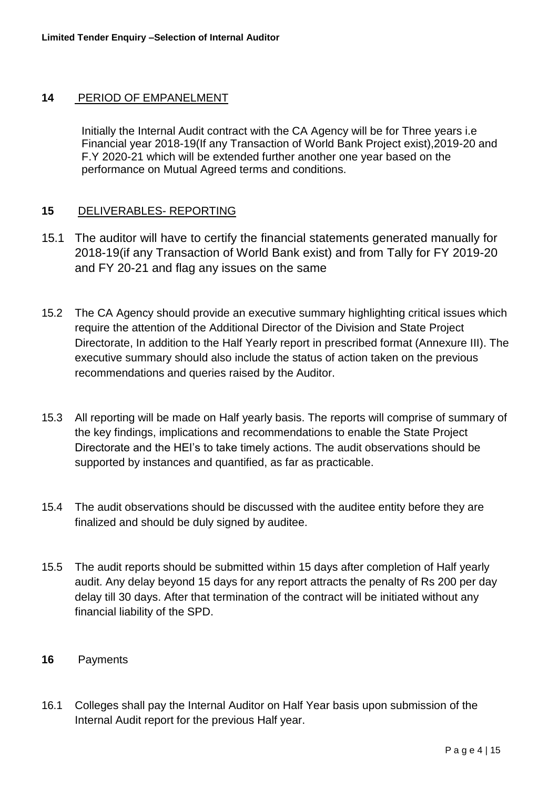#### **14** PERIOD OF EMPANELMENT

Initially the Internal Audit contract with the CA Agency will be for Three years i.e Financial year 2018-19(If any Transaction of World Bank Project exist),2019-20 and F.Y 2020-21 which will be extended further another one year based on the performance on Mutual Agreed terms and conditions.

#### **15** DELIVERABLES- REPORTING

- 15.1 The auditor will have to certify the financial statements generated manually for 2018-19(if any Transaction of World Bank exist) and from Tally for FY 2019-20 and FY 20-21 and flag any issues on the same
- 15.2 The CA Agency should provide an executive summary highlighting critical issues which require the attention of the Additional Director of the Division and State Project Directorate, In addition to the Half Yearly report in prescribed format (Annexure III). The executive summary should also include the status of action taken on the previous recommendations and queries raised by the Auditor.
- 15.3 All reporting will be made on Half yearly basis. The reports will comprise of summary of the key findings, implications and recommendations to enable the State Project Directorate and the HEI's to take timely actions. The audit observations should be supported by instances and quantified, as far as practicable.
- 15.4 The audit observations should be discussed with the auditee entity before they are finalized and should be duly signed by auditee.
- 15.5 The audit reports should be submitted within 15 days after completion of Half yearly audit. Any delay beyond 15 days for any report attracts the penalty of Rs 200 per day delay till 30 days. After that termination of the contract will be initiated without any financial liability of the SPD.
- **16** Payments
- 16.1 Colleges shall pay the Internal Auditor on Half Year basis upon submission of the Internal Audit report for the previous Half year.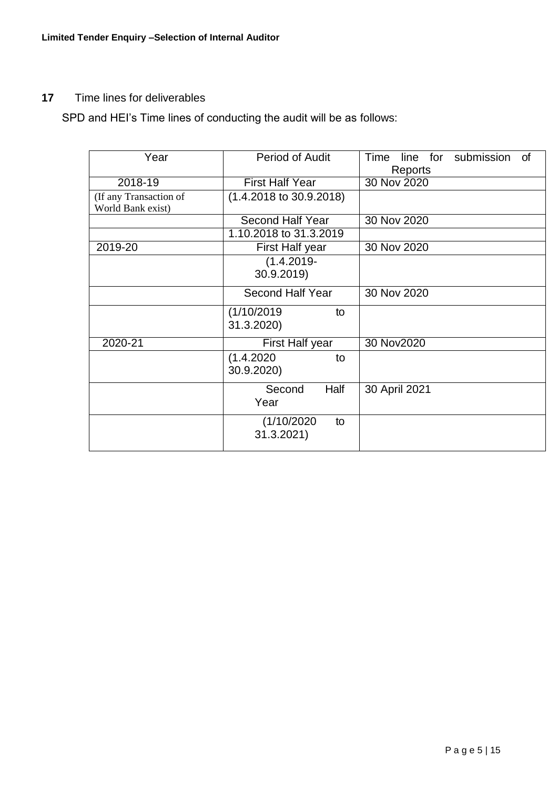### **17** Time lines for deliverables

SPD and HEI's Time lines of conducting the audit will be as follows:

| Year                   | <b>Period of Audit</b>             | Time<br>line for submission<br><b>of</b> |
|------------------------|------------------------------------|------------------------------------------|
|                        |                                    | Reports                                  |
| 2018-19                | <b>First Half Year</b>             | 30 Nov 2020                              |
| (If any Transaction of | $(1.4.2018 \text{ to } 30.9.2018)$ |                                          |
| World Bank exist)      |                                    |                                          |
|                        | <b>Second Half Year</b>            | 30 Nov 2020                              |
|                        | 1.10.2018 to 31.3.2019             |                                          |
| 2019-20                | First Half year                    | 30 Nov 2020                              |
|                        | $(1.4.2019 -$                      |                                          |
|                        | 30.9.2019)                         |                                          |
|                        | <b>Second Half Year</b>            | 30 Nov 2020                              |
|                        | (1/10/2019<br>to                   |                                          |
|                        | 31.3.2020)                         |                                          |
| 2020-21                | First Half year                    | 30 Nov2020                               |
|                        | (1.4.2020)<br>to                   |                                          |
|                        | 30.9.2020)                         |                                          |
|                        | Half<br>Second                     | 30 April 2021                            |
|                        | Year                               |                                          |
|                        | (1/10/2020)<br>to                  |                                          |
|                        | 31.3.2021)                         |                                          |
|                        |                                    |                                          |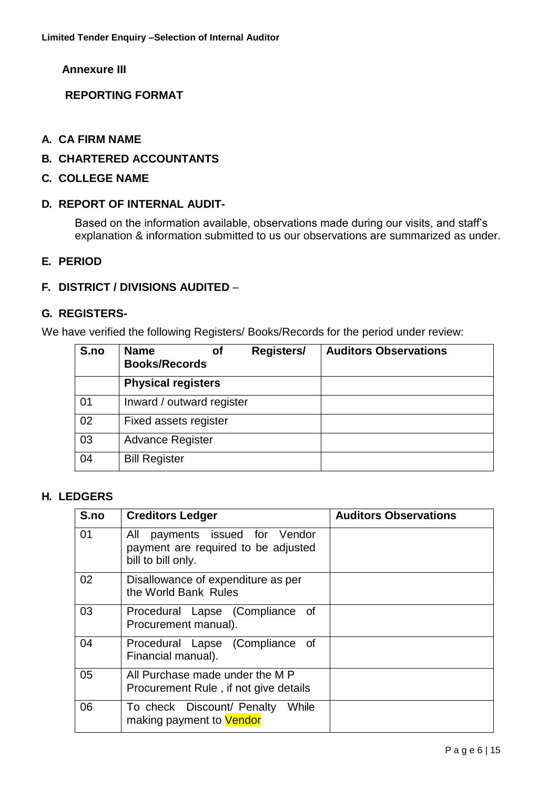**Annexure III** 

**REPORTING FORMAT**

- **A. CA FIRM NAME**
- **B. CHARTERED ACCOUNTANTS**
- **C. COLLEGE NAME**

#### **D. REPORT OF INTERNAL AUDIT-**

Based on the information available, observations made during our visits, and staff's explanation & information submitted to us our observations are summarized as under.

#### **E. PERIOD**

#### **F. DISTRICT / DIVISIONS AUDITED** –

#### **G. REGISTERS-**

We have verified the following Registers/ Books/Records for the period under review:

| S.no | <b>Name</b><br>Οf<br><b>Books/Records</b> | Registers/ | <b>Auditors Observations</b> |
|------|-------------------------------------------|------------|------------------------------|
|      | <b>Physical registers</b>                 |            |                              |
| 01   | Inward / outward register                 |            |                              |
| 02   | Fixed assets register                     |            |                              |
| 03   | <b>Advance Register</b>                   |            |                              |
| 04   | <b>Bill Register</b>                      |            |                              |

#### **H. LEDGERS**

| S.no | <b>Creditors Ledger</b>                                                                        | <b>Auditors Observations</b> |
|------|------------------------------------------------------------------------------------------------|------------------------------|
| 01   | payments issued for Vendor<br>All<br>payment are required to be adjusted<br>bill to bill only. |                              |
| 02   | Disallowance of expenditure as per<br>the World Bank Rules                                     |                              |
| 03   | Procedural Lapse (Compliance of<br>Procurement manual).                                        |                              |
| 04   | Procedural Lapse (Compliance of<br>Financial manual).                                          |                              |
| 05   | All Purchase made under the M P<br>Procurement Rule, if not give details                       |                              |
| 06   | To check Discount/ Penalty<br>While<br>making payment to Vendor                                |                              |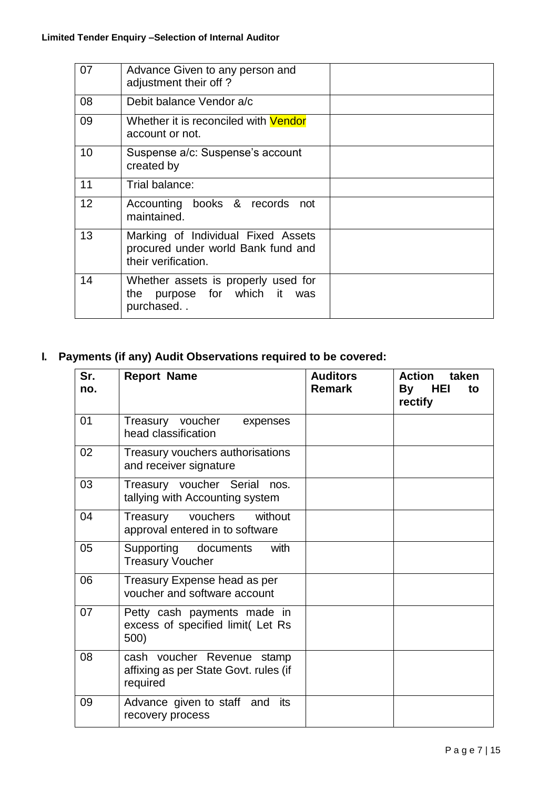| 07 | Advance Given to any person and<br>adjustment their off?                                        |  |
|----|-------------------------------------------------------------------------------------------------|--|
| 08 | Debit balance Vendor a/c                                                                        |  |
| 09 | Whether it is reconciled with <b>Vendor</b><br>account or not.                                  |  |
| 10 | Suspense a/c: Suspense's account<br>created by                                                  |  |
| 11 | Trial balance:                                                                                  |  |
| 12 | Accounting books & records not<br>maintained.                                                   |  |
| 13 | Marking of Individual Fixed Assets<br>procured under world Bank fund and<br>their verification. |  |
| 14 | Whether assets is properly used for<br>purpose for which it was<br>the<br>purchased             |  |

# **I. Payments (if any) Audit Observations required to be covered:**

| Sr.<br>no. | <b>Report Name</b>                                                              | <b>Auditors</b><br><b>Remark</b> | Action<br>taken<br>HEI<br>By<br>to<br>rectify |
|------------|---------------------------------------------------------------------------------|----------------------------------|-----------------------------------------------|
| 01         | Treasury voucher<br>expenses<br>head classification                             |                                  |                                               |
| 02         | Treasury vouchers authorisations<br>and receiver signature                      |                                  |                                               |
| 03         | Treasury voucher Serial<br>nos.<br>tallying with Accounting system              |                                  |                                               |
| 04         | vouchers<br>without<br>Treasury<br>approval entered in to software              |                                  |                                               |
| 05         | Supporting documents<br>with<br><b>Treasury Voucher</b>                         |                                  |                                               |
| 06         | Treasury Expense head as per<br>voucher and software account                    |                                  |                                               |
| 07         | Petty cash payments made in<br>excess of specified limit(Let Rs<br>500)         |                                  |                                               |
| 08         | cash voucher Revenue stamp<br>affixing as per State Govt. rules (if<br>required |                                  |                                               |
| 09         | Advance given to staff and<br>its<br>recovery process                           |                                  |                                               |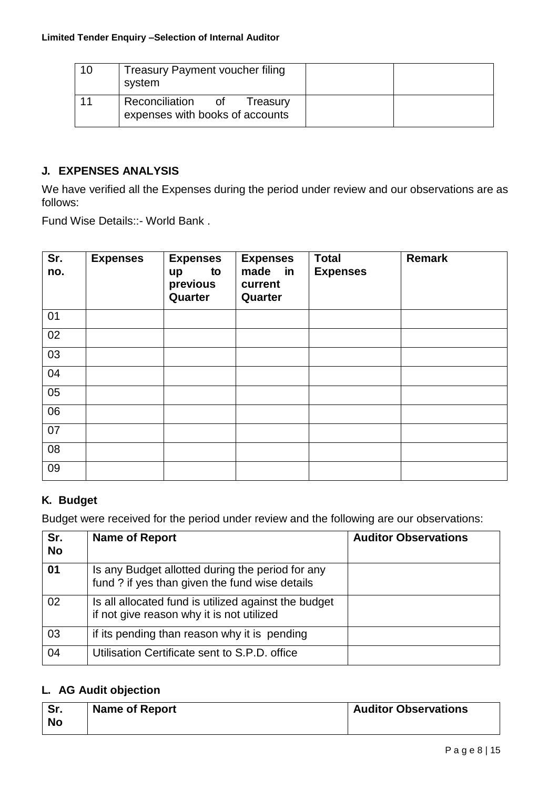| 10 | <b>Treasury Payment voucher filing</b><br>system                    |  |
|----|---------------------------------------------------------------------|--|
| 11 | Reconciliation<br>Treasury<br>0t<br>expenses with books of accounts |  |

### **J. EXPENSES ANALYSIS**

We have verified all the Expenses during the period under review and our observations are as follows:

Fund Wise Details::- World Bank .

| Sr.<br>no. | <b>Expenses</b> | <b>Expenses</b><br>to<br>up<br>previous<br>Quarter | <b>Expenses</b><br>made in<br>current<br>Quarter | <b>Total</b><br><b>Expenses</b> | <b>Remark</b> |
|------------|-----------------|----------------------------------------------------|--------------------------------------------------|---------------------------------|---------------|
| 01         |                 |                                                    |                                                  |                                 |               |
| 02         |                 |                                                    |                                                  |                                 |               |
| 03         |                 |                                                    |                                                  |                                 |               |
| 04         |                 |                                                    |                                                  |                                 |               |
| 05         |                 |                                                    |                                                  |                                 |               |
| 06         |                 |                                                    |                                                  |                                 |               |
| 07         |                 |                                                    |                                                  |                                 |               |
| 08         |                 |                                                    |                                                  |                                 |               |
| 09         |                 |                                                    |                                                  |                                 |               |

### **K. Budget**

Budget were received for the period under review and the following are our observations:

| Sr.<br><b>No</b> | <b>Name of Report</b>                                                                              | <b>Auditor Observations</b> |
|------------------|----------------------------------------------------------------------------------------------------|-----------------------------|
| 01               | Is any Budget allotted during the period for any<br>fund ? if yes than given the fund wise details |                             |
| 02               | Is all allocated fund is utilized against the budget<br>if not give reason why it is not utilized  |                             |
| 03               | if its pending than reason why it is pending                                                       |                             |
| 04               | Utilisation Certificate sent to S.P.D. office                                                      |                             |

### **L. AG Audit objection**

| Sr. | <b>Name of Report</b> | <b>Auditor Observations</b> |
|-----|-----------------------|-----------------------------|
| No  |                       |                             |